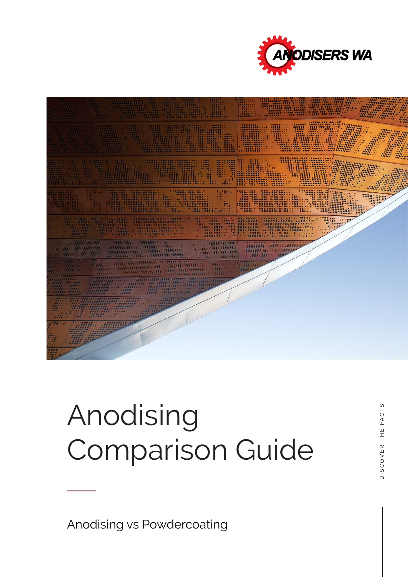



# Anodising Comparison Guide

Anodising vs Powdercoating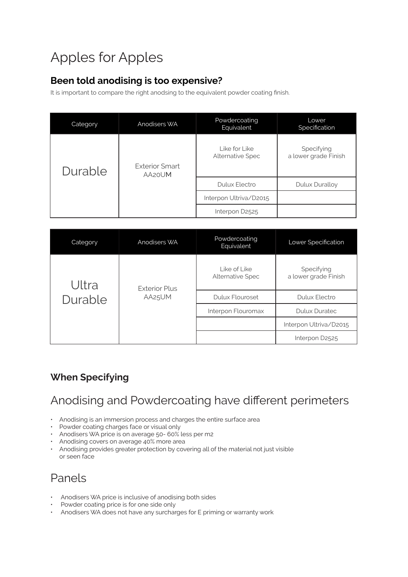## Apples for Apples

#### **Been told anodising is too expensive?**

It is important to compare the right anodsing to the equivalent powder coating finish.

| Category | Anodisers WA                    | Powdercoating<br>Equivalent       | Lower<br>Specification             |
|----------|---------------------------------|-----------------------------------|------------------------------------|
| Durable  | <b>Exterior Smart</b><br>AA20UM | Like for Like<br>Alternative Spec | Specifying<br>a lower grade Finish |
|          |                                 | Dulux Electro                     | Dulux Duralloy                     |
|          |                                 | Interpon Ultriva/D2015            |                                    |
|          |                                 | Interpon D2525                    |                                    |

| Category         | Anodisers WA                   | Powdercoating<br>Equivalent             | Lower Specification                |
|------------------|--------------------------------|-----------------------------------------|------------------------------------|
| Ultra<br>Durable | <b>Exterior Plus</b><br>AA25UM | Like of Like<br><b>Alternative Spec</b> | Specifying<br>a lower grade Finish |
|                  |                                | Dulux Flouroset                         | <b>Dulux Electro</b>               |
|                  |                                | Interpon Flouromax                      | <b>Dulux Duratec</b>               |
|                  |                                |                                         | Interpon Ultriva/D2015             |
|                  |                                |                                         | Interpon D2525                     |

#### **When Specifying**

## Anodising and Powdercoating have different perimeters

- Anodising is an immersion process and charges the entire surface area
- Powder coating charges face or visual only
- Anodisers WA price is on average 50- 60% less per m2
- Anodising covers on average 40% more area
- Anodising provides greater protection by covering all of the material not just visible or seen face

## Panels

- Anodisers WA price is inclusive of anodising both sides
- Powder coating price is for one side only
- Anodisers WA does not have any surcharges for E priming or warranty work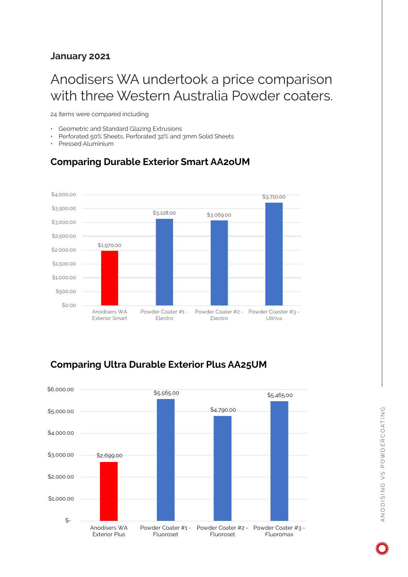#### **January 2021**

## Anodisers WA undertook a price comparison with three Western Australia Powder coaters.

24 Items were compared including

- Geometric and Standard Glazing Extrusions
- Perforated 50% Sheets, Perforated 32% and 3mm Solid Sheets
- Pressed Aluminium

#### **Comparing Durable Exterior Smart AA2oUM**



#### **Comparing Ultra Durable Exterior Plus AA25UM**